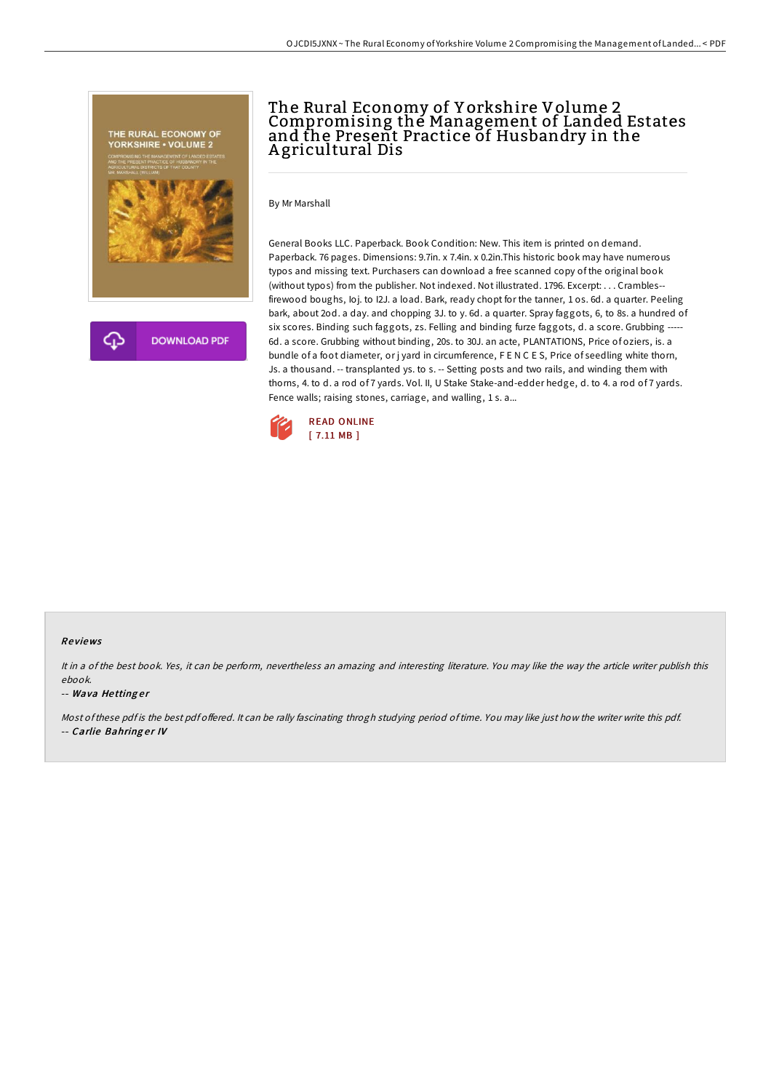

## The Rural Economy of Y orkshire Volume 2 Compromising the Management of Landed Estates and the Present Practice of Husbandry in the A gricultural Dis

By Mr Marshall

General Books LLC. Paperback. Book Condition: New. This item is printed on demand. Paperback. 76 pages. Dimensions: 9.7in. x 7.4in. x 0.2in.This historic book may have numerous typos and missing text. Purchasers can download a free scanned copy of the original book (without typos) from the publisher. Not indexed. Not illustrated. 1796. Excerpt: . . . Crambles- firewood boughs, Ioj. to I2J. a load. Bark, ready chopt for the tanner, 1 os. 6d. a quarter. Peeling bark, about 2od. a day. and chopping 3J. to y. 6d. a quarter. Spray faggots, 6, to 8s. a hundred of six scores. Binding such faggots, zs. Felling and binding furze faggots, d. a score. Grubbing ----6d. a score. Grubbing without binding, 20s. to 30J. an acte, PLANTATIONS, Price of oziers, is. a bundle of a foot diameter, or j yard in circumference, F E N C E S, Price of seedling white thorn, Js. a thousand. -- transplanted ys. to s. -- Setting posts and two rails, and winding them with thorns, 4. to d. a rod of 7 yards. Vol. II, U Stake Stake-and-edder hedge, d. to 4. a rod of 7 yards. Fence walls; raising stones, carriage, and walling, 1 s. a...



## Re views

It in <sup>a</sup> of the best book. Yes, it can be perform, nevertheless an amazing and interesting literature. You may like the way the article writer publish this ebook.

## -- Wava Hettinger

Most of these pdf is the best pdf offered. It can be rally fascinating throgh studying period of time. You may like just how the writer write this pdf. -- Carlie Bahring er IV